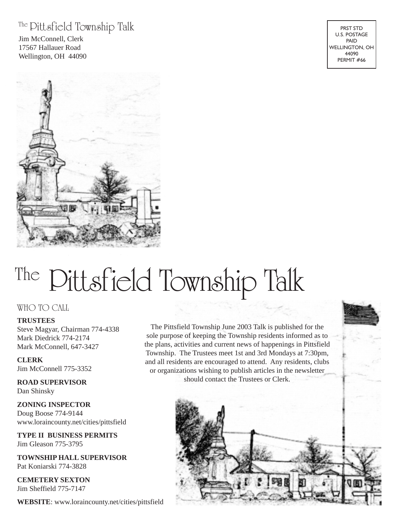### The Pittsfield Township Talk

Jim McConnell, Clerk 17567 Hallauer Road Wellington, OH 44090

PRST STD U.S. POSTAGE PAID WELLINGTON, OH 44090 PERMIT #66



# The Pittsfield Township Talk

#### WHO TO CALL

#### **TRUSTEES**

Steve Magyar, Chairman 774-4338 Mark Diedrick 774-2174 Mark McConnell, 647-3427

#### **CLERK** Jim McConnell 775-3352

**ROAD SUPERVISOR** Dan Shinsky

**ZONING INSPECTOR** Doug Boose 774-9144 www.loraincounty.net/cities/pittsfield

**TYPE II BUSINESS PERMITS** Jim Gleason 775-3795

**TOWNSHIP HALL SUPERVISOR** Pat Koniarski 774-3828

**CEMETERY SEXTON** Jim Sheffield 775-7147

**WEBSITE**: www.loraincounty.net/cities/pittsfield

The Pittsfield Township June 2003 Talk is published for the sole purpose of keeping the Township residents informed as to the plans, activities and current news of happenings in Pittsfield Township. The Trustees meet 1st and 3rd Mondays at 7:30pm, and all residents are encouraged to attend. Any residents, clubs or organizations wishing to publish articles in the newsletter should contact the Trustees or Clerk.

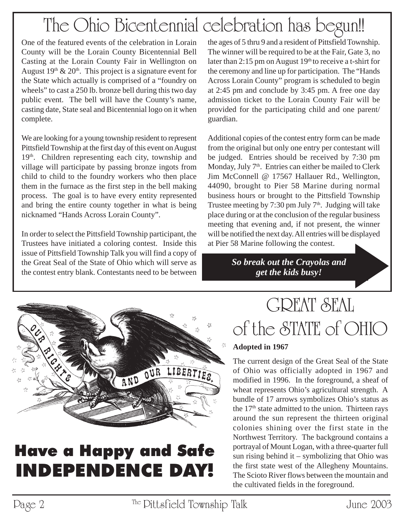# The Ohio Bicentennial celebration has begun!!

One of the featured events of the celebration in Lorain County will be the Lorain County Bicentennial Bell Casting at the Lorain County Fair in Wellington on August  $19<sup>th</sup>$  &  $20<sup>th</sup>$ . This project is a signature event for the State which actually is comprised of a "foundry on wheels" to cast a 250 lb. bronze bell during this two day public event. The bell will have the County's name, casting date, State seal and Bicentennial logo on it when complete.

We are looking for a young township resident to represent Pittsfield Township at the first day of this event on August 19<sup>th</sup>. Children representing each city, township and village will participate by passing bronze ingots from child to child to the foundry workers who then place them in the furnace as the first step in the bell making process. The goal is to have every entity represented and bring the entire county together in what is being nicknamed "Hands Across Lorain County".

In order to select the Pittsfield Township participant, the Trustees have initiated a coloring contest. Inside this issue of Pittsfield Township Talk you will find a copy of the Great Seal of the State of Ohio which will serve as the contest entry blank. Contestants need to be between the ages of 5 thru 9 and a resident of Pittsfield Township. The winner will be required to be at the Fair, Gate 3, no later than 2:15 pm on August  $19<sup>th</sup>$  to receive a t-shirt for the ceremony and line up for participation. The "Hands Across Lorain County" program is scheduled to begin at 2:45 pm and conclude by 3:45 pm. A free one day admission ticket to the Lorain County Fair will be provided for the participating child and one parent/ guardian.

Additional copies of the contest entry form can be made from the original but only one entry per contestant will be judged. Entries should be received by 7:30 pm Monday, July  $7<sup>th</sup>$ . Entries can either be mailed to Clerk Jim McConnell @ 17567 Hallauer Rd., Wellington, 44090, brought to Pier 58 Marine during normal business hours or brought to the Pittsfield Township Trustee meeting by 7:30 pm July  $7<sup>th</sup>$ . Judging will take place during or at the conclusion of the regular business meeting that evening and, if not present, the winner will be notified the next day. All entries will be displayed at Pier 58 Marine following the contest.

> *So break out the Crayolas and get the kids busy!*



## Have a Happy and Safe INDEPENDENCE DAY!

# GREAT SEAL of the STATE of OHIO

### **Adopted in 1967**

The current design of the Great Seal of the State of Ohio was officially adopted in 1967 and modified in 1996. In the foreground, a sheaf of wheat represents Ohio's agricultural strength. A bundle of 17 arrows symbolizes Ohio's status as the  $17<sup>th</sup>$  state admitted to the union. Thirteen rays around the sun represent the thirteen original colonies shining over the first state in the Northwest Territory. The background contains a portrayal of Mount Logan, with a three-quarter full sun rising behind it – symbolizing that Ohio was the first state west of the Allegheny Mountains. The Scioto River flows between the mountain and the cultivated fields in the foreground.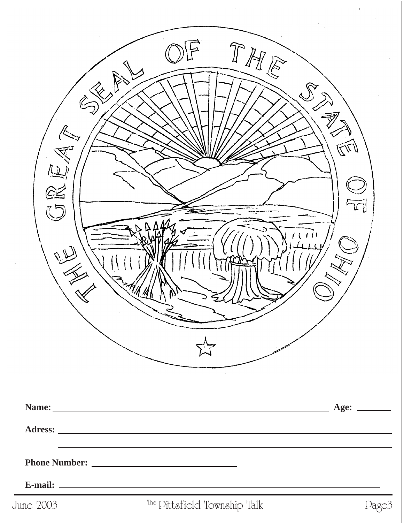| $\ll_{\nearrow}$<br>$\overline{\mathscr{C}}$<br>$\mathbb{R}$<br>ORE<br>البلانة | THE                          | $\widehat{\mathbb{F}}$ |
|--------------------------------------------------------------------------------|------------------------------|------------------------|
|                                                                                |                              |                        |
|                                                                                |                              |                        |
|                                                                                |                              |                        |
| June 2003                                                                      | The Dittsfield Township Talk | Dage3                  |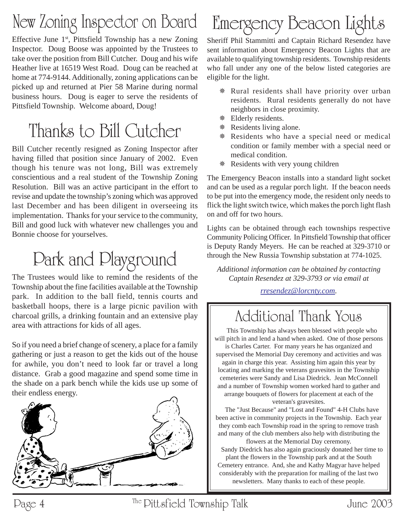# New Zoning Inspector on Board

Effective June  $1<sup>st</sup>$ , Pittsfield Township has a new Zoning Inspector. Doug Boose was appointed by the Trustees to take over the position from Bill Cutcher. Doug and his wife Heather live at 16519 West Road. Doug can be reached at home at 774-9144. Additionally, zoning applications can be picked up and returned at Pier 58 Marine during normal business hours. Doug is eager to serve the residents of Pittsfield Township. Welcome aboard, Doug!

# Thanks to Bill Cutcher

Bill Cutcher recently resigned as Zoning Inspector after having filled that position since January of 2002. Even though his tenure was not long, Bill was extremely conscientious and a real student of the Township Zoning Resolution. Bill was an active participant in the effort to revise and update the township's zoning which was approved last December and has been diligent in overseeing its implementation. Thanks for your service to the community, Bill and good luck with whatever new challenges you and Bonnie choose for yourselves.

# Park and Playground

The Trustees would like to remind the residents of the Township about the fine facilities available at the Township park. In addition to the ball field, tennis courts and basketball hoops, there is a large picnic pavilion with charcoal grills, a drinking fountain and an extensive play area with attractions for kids of all ages.

So if you need a brief change of scenery, a place for a family gathering or just a reason to get the kids out of the house for awhile, you don't need to look far or travel a long distance. Grab a good magazine and spend some time in the shade on a park bench while the kids use up some of their endless energy.



# Emergency Beacon Lights

Sheriff Phil Stammitti and Captain Richard Resendez have sent information about Emergency Beacon Lights that are available to qualifying township residents. Township residents who fall under any one of the below listed categories are eligible for the light.

- Rural residents shall have priority over urban residents. Rural residents generally do not have neighbors in close proximity.
- Elderly residents.
- **\*** Residents living alone.
- Residents who have a special need or medical condition or family member with a special need or medical condition.
- Residents with very young children

The Emergency Beacon installs into a standard light socket and can be used as a regular porch light. If the beacon needs to be put into the emergency mode, the resident only needs to flick the light switch twice, which makes the porch light flash on and off for two hours.

Lights can be obtained through each townships respective Community Policing Officer. In Pittsfield Township that officer is Deputy Randy Meyers. He can be reached at 329-3710 or through the New Russia Township substation at 774-1025.

*Additional information can be obtained by contacting Captain Resendez at 329-3793 or via email at*

### *rresendez@lorcnty.com.*

## Additional Thank Yous

 This Township has always been blessed with people who will pitch in and lend a hand when asked. One of those persons is Charles Carter. For many years he has organized and supervised the Memorial Day ceremony and activities and was again in charge this year. Assisting him again this year by locating and marking the veterans gravesites in the Township cemeteries were Sandy and Lisa Diedrick. Jean McConnell and a number of Township women worked hard to gather and arrange bouquets of flowers for placement at each of the

veteran's gravesites.

 The "Just Because" and "Lost and Found" 4-H Clubs have been active in community projects in the Township. Each year they comb each Township road in the spring to remove trash and many of the club members also help with distributing the flowers at the Memorial Day ceremony.

 Sandy Diedrick has also again graciously donated her time to plant the flowers in the Township park and at the South Cemetery entrance. And, she and Kathy Magyar have helped considerably with the preparation for mailing of the last two newsletters. Many thanks to each of these people.

Page 4 The Pittsfield Township Talk June 2003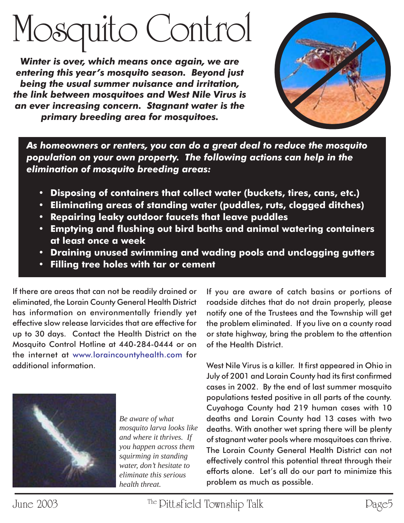# Mosquito Control

*Winter is over, which means once again, we are entering this year's mosquito season. Beyond just being the usual summer nuisance and irritation, the link between mosquitoes and West Nile Virus is an ever increasing concern. Stagnant water is the primary breeding area for mosquitoes.*



*As homeowners or renters, you can do a great deal to reduce the mosquito population on your own property. The following actions can help in the elimination of mosquito breeding areas:*

- **Disposing of containers that collect water (buckets, tires, cans, etc.)**
- **Eliminating areas of standing water (puddles, ruts, clogged ditches)**
- **Repairing leaky outdoor faucets that leave puddles**
- **• Emptying and flushing out bird baths and animal watering containers at least once a week**
- **Draining unused swimming and wading pools and unclogging gutters**
- **Filling tree holes with tar or cement**

If there are areas that can not be readily drained or eliminated, the Lorain County General Health District has information on environmentally friendly yet effective slow release larvicides that are effective for up to 30 days. Contact the Health District on the Mosquito Control Hotline at 440-284-0444 or on the internet at www.loraincountyhealth.com for additional information.



*Be aware of what mosquito larva looks like and where it thrives. If you happen across them squirming in standing water, don't hesitate to eliminate this serious health threat.*

If you are aware of catch basins or portions of roadside ditches that do not drain properly, please notify one of the Trustees and the Township will get the problem eliminated. If you live on a county road or state highway, bring the problem to the attention of the Health District.

West Nile Virus is a killer. It first appeared in Ohio in July of 2001 and Lorain County had its first confirmed cases in 2002. By the end of last summer mosquito populations tested positive in all parts of the county. Cuyahoga County had 219 human cases with 10 deaths and Lorain County had 13 cases with two deaths. With another wet spring there will be plenty of stagnant water pools where mosquitoes can thrive. The Lorain County General Health District can not effectively control this potential threat through their efforts alone. Let's all do our part to minimize this problem as much as possible.

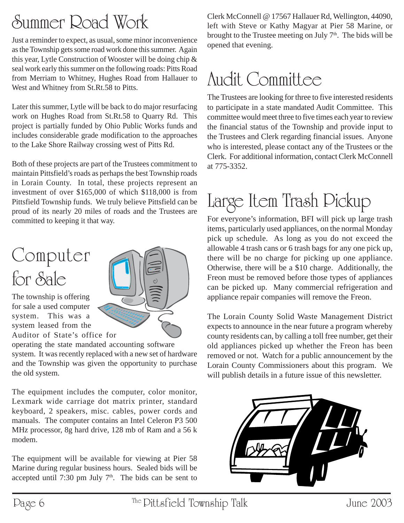# Summer Road Work

Just a reminder to expect, as usual, some minor inconvenience as the Township gets some road work done this summer. Again this year, Lytle Construction of Wooster will be doing chip & seal work early this summer on the following roads: Pitts Road from Merriam to Whitney, Hughes Road from Hallauer to West and Whitney from St.Rt.58 to Pitts.

Later this summer, Lytle will be back to do major resurfacing work on Hughes Road from St.Rt.58 to Quarry Rd. This project is partially funded by Ohio Public Works funds and includes considerable grade modification to the approaches to the Lake Shore Railway crossing west of Pitts Rd.

Both of these projects are part of the Trustees commitment to maintain Pittsfield's roads as perhaps the best Township roads in Lorain County. In total, these projects represent an investment of over \$165,000 of which \$118,000 is from Pittsfield Township funds. We truly believe Pittsfield can be proud of its nearly 20 miles of roads and the Trustees are committed to keeping it that way.

# Computer for Sale

The township is offering for sale a used computer system. This was a system leased from the Auditor of State's office for



operating the state mandated accounting software system. It was recently replaced with a new set of hardware and the Township was given the opportunity to purchase the old system.

The equipment includes the computer, color monitor, Lexmark wide carriage dot matrix printer, standard keyboard, 2 speakers, misc. cables, power cords and manuals. The computer contains an Intel Celeron P3 500 MHz processor, 8g hard drive, 128 mb of Ram and a 56 k modem.

The equipment will be available for viewing at Pier 58 Marine during regular business hours. Sealed bids will be accepted until 7:30 pm July  $7<sup>th</sup>$ . The bids can be sent to Clerk McConnell @ 17567 Hallauer Rd, Wellington, 44090, left with Steve or Kathy Magyar at Pier 58 Marine, or brought to the Trustee meeting on July  $7<sup>th</sup>$ . The bids will be opened that evening.

## Audit Committee

The Trustees are looking for three to five interested residents to participate in a state mandated Audit Committee. This committee would meet three to five times each year to review the financial status of the Township and provide input to the Trustees and Clerk regarding financial issues. Anyone who is interested, please contact any of the Trustees or the Clerk. For additional information, contact Clerk McConnell at 775-3352.

# Large Item Trash Pickup

For everyone's information, BFI will pick up large trash items, particularly used appliances, on the normal Monday pick up schedule. As long as you do not exceed the allowable 4 trash cans or 6 trash bags for any one pick up, there will be no charge for picking up one appliance. Otherwise, there will be a \$10 charge. Additionally, the Freon must be removed before those types of appliances can be picked up. Many commercial refrigeration and appliance repair companies will remove the Freon.

The Lorain County Solid Waste Management District expects to announce in the near future a program whereby county residents can, by calling a toll free number, get their old appliances picked up whether the Freon has been removed or not. Watch for a public announcement by the Lorain County Commissioners about this program. We will publish details in a future issue of this newsletter.

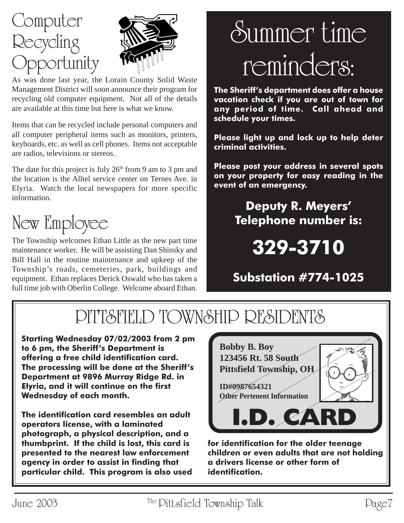



As was done last year, the Lorain County Solid Waste Management District will soon announce their program for recycling old computer equipment. Not all of the details are available at this time but here is what we know.

Items that can be recycled include personal computers and all computer peripheral items such as monitors, printers, keyboards, etc. as well as cell phones. Items not acceptable are radios, televisions or stereos.

The date for this project is July  $26<sup>th</sup>$  from 9 am to 3 pm and the location is the Alltel service center on Ternes Ave. in Elyria. Watch the local newspapers for more specific information.

# New Employee

The Township welcomes Ethan Little as the new part time maintenance worker. He will be assisting Dan Shinsky and Bill Hall in the routine maintenance and upkeep of the Township's roads, cemeteries, park, buildings and equipment. Ethan replaces Derick Oswald who has taken a full time job with Oberlin College. Welcome aboard Ethan.

# Summer time reminders:

**The Sheriff's department does offer a house vacation check if you are out of town for any period of time. Call ahead and schedule your times.**

**Please light up and lock up to help deter criminal activities.**

**Please post your address in several spots on your property for easy reading in the event of an emergency.**

## **Deputy R. Meyers' Telephone number is:**

**329-3710**

## **Substation #774-1025**

# PITTSFIELD TOWNSHIP RESIDENTS

**Starting Wednesday 07/02/2003 from 2 pm to 6 pm, the Sheriff's Department is offering a free child identification card. The processing will be done at the Sheriff's Department at 9896 Murray Ridge Rd. in Elyria, and it will continue on the first Wednesday of each month.**

**The identification card resembles an adult operators license, with a laminated photograph, a physical description, and a thumbprint. If the child is lost, this card is presented to the nearest law enforcement agency in order to assist in finding that particular child. This program is also used**



**for identification for the older teenage children or even adults that are not holding a drivers license or other form of identification.**